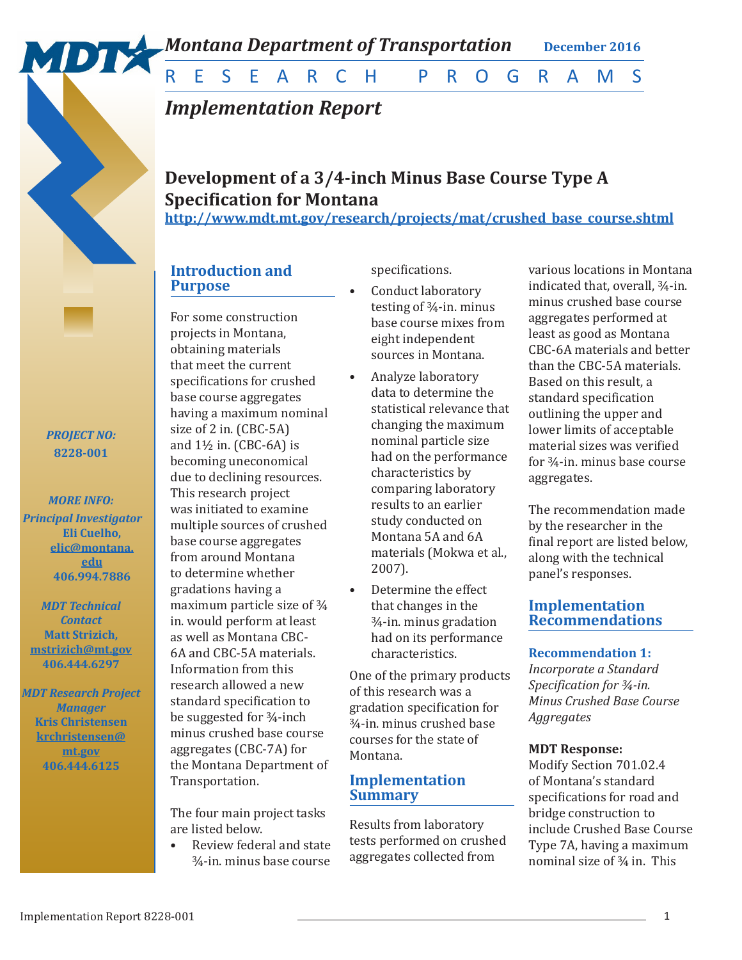

*Montana Department of Transportation* **December 2016** 

RESEARCH PROGRAMS

# *Implementation Report*

## **Development of a 3/4-inch Minus Base Course Type A Specification for Montana**

**http://www.mdt.mt.gov/research/projects/mat/crushed\_base\_course.shtml**

## **Introduction and Purpose**

For some construction projects in Montana, obtaining materials that meet the current specifications for crushed base course aggregates having a maximum nominal size of 2 in. (CBC-5A) and  $1\frac{1}{2}$  in. (CBC-6A) is becoming uneconomical due to declining resources. This research project was initiated to examine multiple sources of crushed base course aggregates from around Montana to determine whether gradations having a maximum particle size of ¾ in. would perform at least as well as Montana CBC-6A and CBC-5A materials. Information from this research allowed a new standard specification to be suggested for ¾-inch minus crushed base course aggregates (CBC-7A) for the Montana Department of Transportation.

The four main project tasks are listed below.

• Review federal and state ¾-in. minus base course

## specifications.

- Conduct laboratory testing of  $\frac{3}{4}$ -in. minus base course mixes from eight independent sources in Montana.
- Analyze laboratory data to determine the statistical relevance that changing the maximum nominal particle size had on the performance characteristics by comparing laboratory results to an earlier study conducted on Montana 5A and 6A materials (Mokwa et al., 2007).
- Determine the effect that changes in the ¾-in. minus gradation had on its performance characteristics.

One of the primary products of this research was a gradation specification for ¾-in. minus crushed base courses for the state of Montana.

## **Implementation Summary**

Results from laboratory tests performed on crushed aggregates collected from

various locations in Montana indicated that, overall, ¾-in. minus crushed base course aggregates performed at least as good as Montana CBC-6A materials and better than the CBC-5A materials. Based on this result, a standard specification outlining the upper and lower limits of acceptable material sizes was verified for ¾-in. minus base course aggregates.

The recommendation made by the researcher in the final report are listed below, along with the technical panel's responses.

## **Implementation Recommendations**

## **Recommendation 1:**

*Incorporate a Standard Specification for ¾-in. Minus Crushed Base Course Aggregates*

## **MDT Response:**

Modify Section 701.02.4 of Montana's standard specifications for road and bridge construction to include Crushed Base Course Type 7A, having a maximum nominal size of ¾ in. This

## *PROJECT NO:* **8228-001**

*MORE INFO: Principal Investigator*  **Eli Cuelho, elic@montana. edu 406.994.7886**

*MDT Technical Contact*  **Matt Strizich, mstrizich@mt.gov 406.444.6297**

*MDT Research Project Manager* **Kris Christensen krchristensen@ mt.gov 406.444.6125**